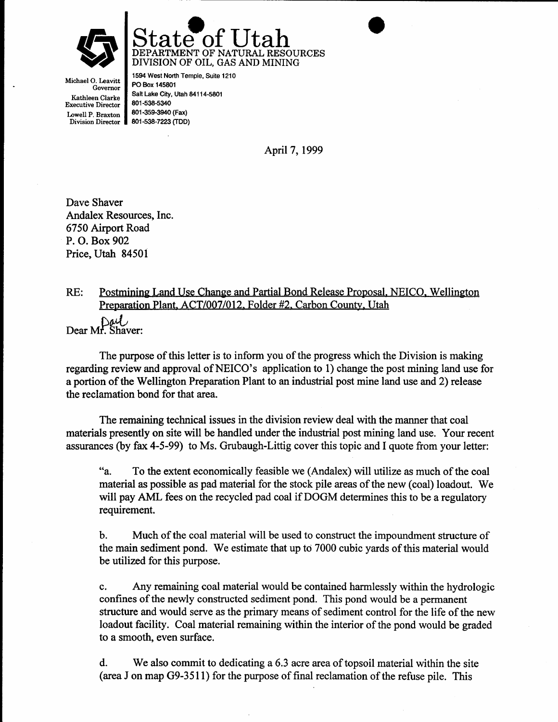



Michael O. Leavitt Governor Kathleen Clarke Executive Director Iowell P, Braxton

Division Director || 801-538-7223 (TDD) 1594 West North Temple, Suite 1210 PO Box 145801 Salt Lake City, Utah 84114-5801 801-538-s340 801-359-3940 (Fax)

April 7,1999

Dave Shaver Andalex Resources, Inc. 6750 Airport Road P. O. Box 902 Price, Utah 84501

#### $RE:$ Postmining Land Use Change and Partial Bond Release Proposal, NEICO, Wellington Preparation Plant, ACT/007/012. Folder #2, Carbon Countv. Utah Dear Mr. Shaver:

The purpose of this letter is to inform you of the progress which the Division is making regarding review and approval of NEICO's application to 1) change the post mining land use for a portion of the Wellington Preparation Plant to an industrial post mine land use and 2) release the reclamation bond for that area.

The remaining technical issues in the division review deal with the manner that coal materials presently on site will be handled under the industrial post mining land use. Your recent assurances (by fax 4-5-99) to Ms. Grubaugh-Littig cover this topic and I quote from your letter:

"a, To the extent economically feasible we (Andalex) will utilize as much of the coal material as possible as pad material for the stock pile areas of the new (coal) loadout. We will pay AML fees on the recycled pad coal if DOGM determines this to be a regulatory requirement.

b. Much of the coal material will be used to construct the impoundment structure of the main sediment pond. We estimate that up to 7000 cubic yards of this material would be utilized for this purpose.

Any remaining coal material would be contained harmlessly within the hydrologic  $\mathbf{c}$ . confines of the newly constructed sediment pond. This pond would be a permanent structure and would serve as the primary means of sediment control for the life of the new loadout facility. Coal material remaining within the interior of the pond would be graded to a smooth, even surface.

d. We also commit to dedicating a 6.3 acre areaof topsoil material within the site (area J on map G9-351l) for the purpose of final reclamation of the refuse pile. This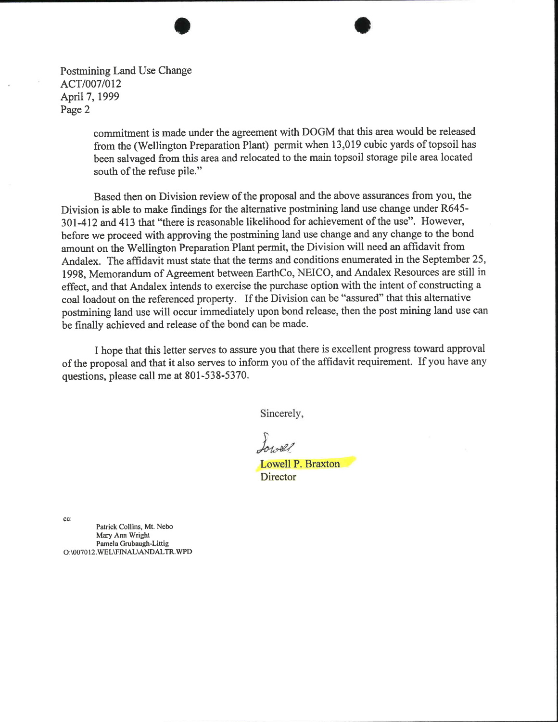Postmining Land Use Change ACT/007/012 April 7, 1999 Page 2

> commitment is made under the agreement with DOGM that this area would be released from the (Wellington Preparation Plant) permit when 13,019 cubic yards of topsoil has been salvaged from this area and relocated to the main topsoil storage pile area located south of the refuse pile."

Based then on Division review of the proposal and the above assurances from you, the Division is able to make findings for the alternative postmining land use change under R645-301-412 and 413 that "there is reasonable likelihood for achievement of the use". Howevet, before we proceed with approving the postmining land use change and any change to the bond amount on the Wellington Preparation Plant permit, the Division will need an affidavit from Andalex. The affidavit must state that the terms and conditions enumerated in the September 25, 1998, Memorandum of Agreement between EarthCo, NEICO, and Andalex Resources are still in effect, and that Andalex intends to exercise the purchase option with the intent of constructing a coal loadout on the referenced property. If the Division can be "assured" that this alternative postmining land use will occur immediately upon bond release, then the post mining land use can be finally achieved and release of the bond can be made.

I hope that this letter serves to assure you that there is excellent progress toward approval of the proposal and that it also serves to inform you of the affidavit requirement. If you have any questions, please call me at 801-538-5370.

Sincerely,

Lowell P. Braxton **Director** 

cc:

Patrick Collins, Mt. Nebo Mary Ann Wright Pamela Grubaugh-Littig O:\007012.WEL\FINAL\ANDALTR.WPD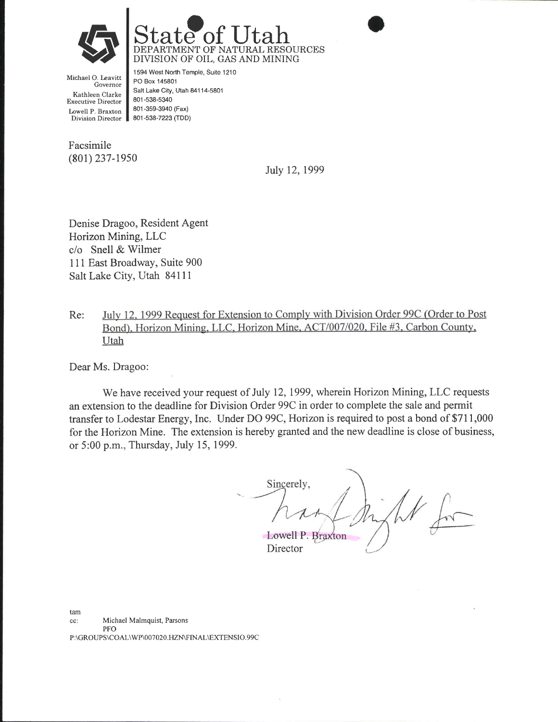



Michael O. Leavitt Governor Kathleen Clarke Executive Director Lowell P. Braxton Division Director

1594 West North Temple, Suite 1210 PO Box 145801 Salt Lake City, Utah 84114-5801 801 -538-5340 801 -359-3940 (Fax) 801-538-7223 (TDD)

Facsimile  $(801)$  237-1950

July 12, 1999

Denise Dragoo, Resident Agent Horizon Mining, LLC c/o Snell & Wilmer 111 East Broadway, Suite 900 Salt Lake City, Utah 84111

July 12, 1999 Request for Extension to Comply with Division Order 99C (Order to Post Re: Bond), Horizon Mining, LLC, Horizon Mine, ACT/007/020, File #3, Carbon County, Utah

Dear Ms. Dragoo:

We have received your request of July 12, 1999, wherein Horizon Mining, LLC requests an extension to the deadline for Division Order 99C in order to complete the sale and permit transfer to Lodestar Energy, Inc. Under DO 99C, Horizon is required to post a bond of \$711,000 for the Horizon Mine. The extension is hereby granted and the new deadline is close of business, or 5:00 p.m., Thursday, July 15, 1999.

Sincerely, Lowell P. Braxton

Director

Michael Malmquist, Parsons PFO tam cc: P:\GROUPS\COAL\WP\007020.HZN\FINAL\EXTENSIO.99C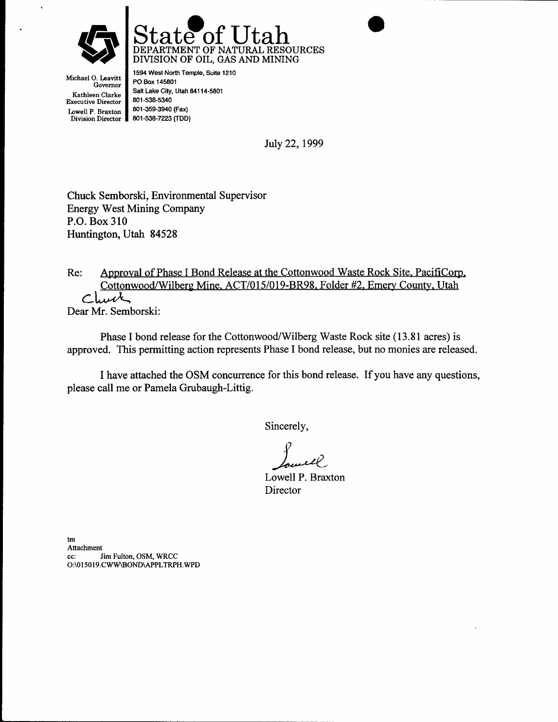



Michael O. Leavitt Governor Kathleen Clarke Executive Director Lowell P. Braxton<br>Division Director

1594 West North Temple, Suite 1210 PO Box 145801 Salt Lake City, Utah 84114-5801 801-538-s340 8Ol-3s9-3940 (Fax) 8O1-538-7223 [rDD)

July 22,1999

Chuck Semborski, Environmental Supervisor Energy West Mining Company P.O. Box 310 Huntington, Utah 84528

Re: Approval of Phase I Bond Release at the Cottonwood Waste Rock Site, PacifiCorp, Cottonwood/Wilberg Mine. ACT/015/019-BR98. Folder #2. Emery County, Utah Clurk Dear Mr. Semborski:

Phase I bond release for the Cottonwood/Wilberg Waste Rock site (13.81 acres) is approved. This permitting action represents Phase I bond release, but no monies are released.

I have attached the OSM concurrence for this bond release. If you have any questions, please call me or Pamela Grubaugh-Littig.

Sincerely,

Lowell P. Braxton **Director** 

tm Attachment cc: Jim Fulton, OSM, WRCC O:\0 I 50 I 9.CWW\BOND\APPLTRPH.WPD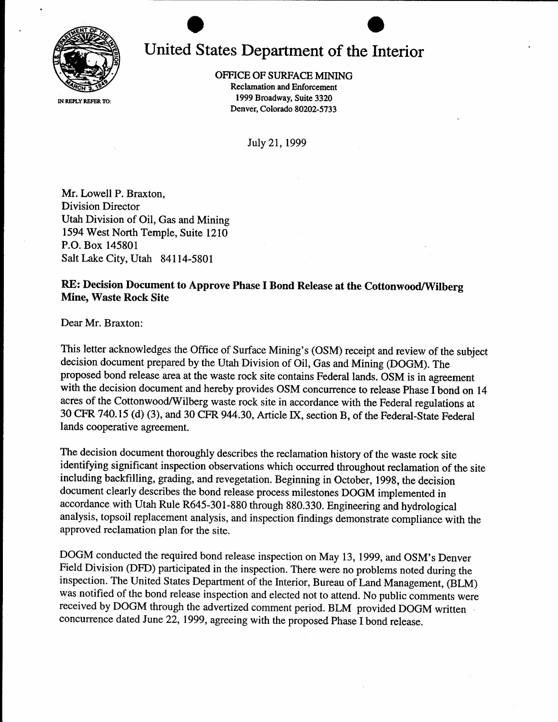

# United States Department of the Interior

OFFICE OF SURFACE MINING

Reclamation and Enforcement 1999 Broadway, Suite 3320 Denver, Colorado 80202-5733

July 21,1999

Mr. Lowell P. Braxton, Division Director Utah Division of Oil, Gas and Mining 1594 West North Temple, Suite 1210 P.O. Box 145801 Salt Lake City, Utah 84114-5801

### RE: Decision Document to Approve Phase I Bond Release at the Cottonwood/Wilberg Mine, Waste Rock Site

Dear Mr. Braxton:

This letter acknowledges the Office of Surface Mining's (OSM) receipt and review of the subject decision document prepared by the Utah Division of Oil, Gas and Mining (DOGM). The proposed bond release area at the waste rock site contains Federal lands. OSM is in agreement with the decision document and hereby provides OSM concurrence to release Phase I bond on <sup>14</sup> acres of the Cottonwood/Wilberg waste rock site in accordance with the Federal regulations at 30 CFR 740.15 (d) (3), and 30 CFR 944.30, Article IX, section B, of the Federal-State Federal lands cooperative agreement.

The decision document thoroughly describes the reclamation history of the waste rock site identifying significant inspection observations which occurred throughout reclamation of the site including backfilling, grading, and revegetation. Beginning in October, 1998, the decision document clearly describes the bond release process milestones DOGM implemented in accordance with Utah Rule R645-301-880 through 880.330. Engineering and hydrological analysis, topsoil replacement analysis, and inspection findings demonstrate compliance with the approved reclamation plan for the site.

DOGM conducted the required bond release inspection on May 13, 1999, and OSM's Denver Field Division (DFD) participated in the inspection. There were no problems noted during the inspection. The United States Department of the Interior, Bureau of Land Management, (BLM) was notified of the bond release inspection and elected not to attend. No public comments were received by DOGM through the advertized comment period. BLM provided DOGM written concurrence dated June 22, 1999, agreeing with the proposed Phase I bond release.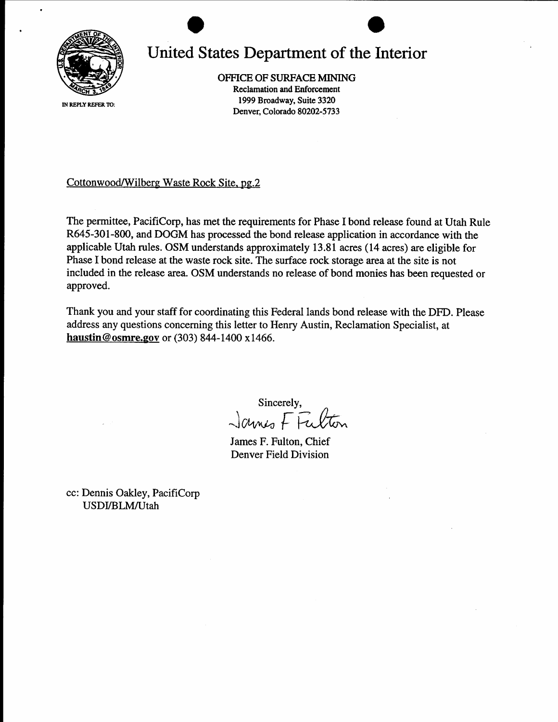

## United States Department of the Interior

OFFICE OF SURFACE MINING Reclamation and Enforcement 1999 Broadway, Suite 3320 Denver, Colorado 80202-5733

IN REPLY REFER TO:

Cottonwood/Wilberg Waste Rock Site. pg.2

The permittee, PacifiCorp, has met the requirements for Phase I bond release found at Utah Rule R645-301-800, and DOGM has processed the bond release application in accordance with the applicable Utah rules. OSM understands approximately l3.SL acres (14 acres) are eligible for Phase I bond release at the waste rock site. The surface rock storage area at the site is not included in the release area. OSM understands no release of bond monies has been requested or approved.

Thank you and your staff for coordinating this Federal lands bond release with the DFD. Please address any questions concerning this letter to Henry Austin, Reclamation Specialist, at haustin@osmre.gov or  $(303)$  844-1400 x1466.

sincerely,<br>James F Fulton

James F. Fulton, Chief Denver Field Division

cc: Dennis Oakley, PacifiCorp USDI/BLM/Utah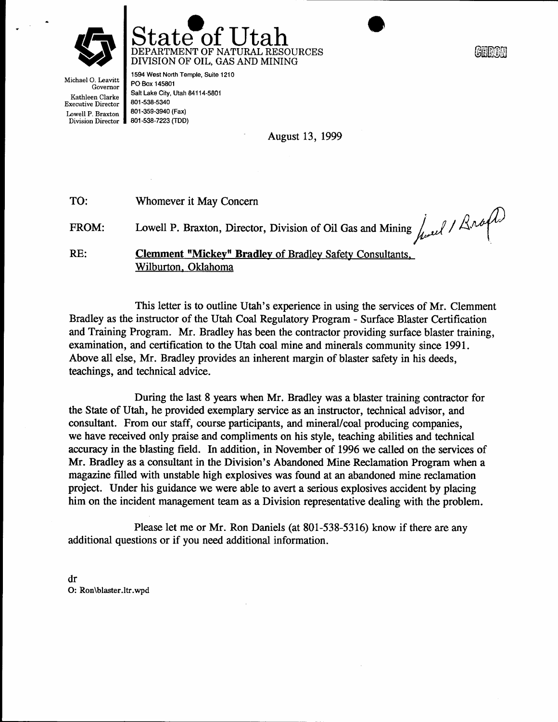



لناقالقاقا

Michael O. Leavitt Governor Kathleen Clarke Executive Director Lowell P. Braxton

Division Director 801-538-72e3 [tDD) 1594 West North Temple, Suite 1210 PO Box 145801 Salt Lake City, Utah 84114-5801 801-538-5340 801-35S-3940 (Fax)

August 13, 1999

| TO:   | Whomever it May Concern                                                                                         |
|-------|-----------------------------------------------------------------------------------------------------------------|
| FROM: | Lowell P. Braxton, Director, Division of Oil Gas and Mining $\int_{\mathcal{U}} \mathcal{U} \cdot d\mathcal{U}$ |
| RE:   | <b>Clemment "Mickey" Bradley of Bradley Safety Consultants,</b><br>Wilburton, Oklahoma                          |

This letter is to outline Utah's experience in using the services of Mr. Clemment Bradley as the instructor of the Utah Coal Regulatory Program - Surface Blaster Certification and Training Program. Mr. Bradley has been the contractor providing surface blaster training, examination, and certification to the Utah coal mine and minerals community since 1991. Above all else, Mr. Bradley provides an inherent margin of blaster safety in his deeds, teachings, and technical advice.

During the last 8 years when Mr. Bradley was a blaster training contractor for the State of Utah, he provided exemplary service as an instructor, technical advisor, and consultant. From our staff, course participants, and mineral/coal producing companies, we have received only praise and compliments on his sfyle, teaching abilities and technical accuracy in the blasting field. In addition, in November of 1996 we called on the services of Mr. Bradley as a consultant in the Division's Abandoned Mine Reclamation Program when a magazine filled with unstable high erplosives was found at an abandoned mine reclamation project. Under his guidance we were able to avert a serious explosives accident by placing him on the incident management team as a Division representative dealing with the problem.

Please let me or Mr. Ron Daniels (at 801-538-5316) know if there are any additional questions or if you need additional information.

dr O: Ron\blaster.ltr.wpd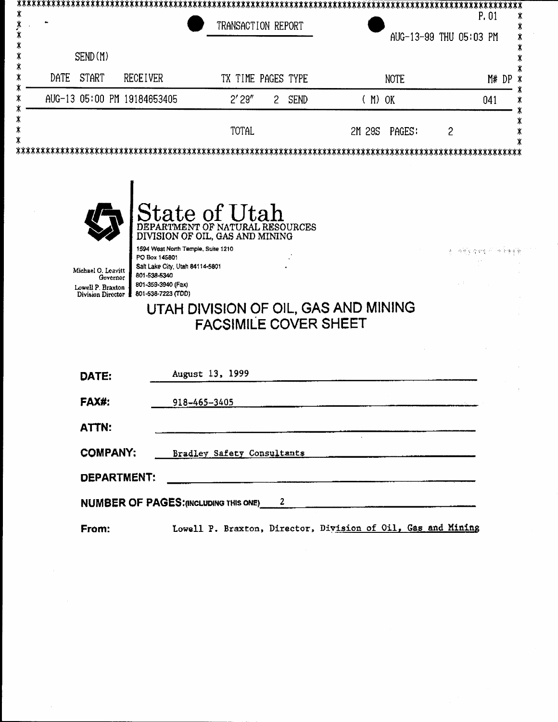| SEND(M)<br><b>DATE</b><br><b>START</b><br><b>RECEIVER</b><br>TX TIME PAGES TYPE<br><b>NOTE</b><br>M# DP<br>AUG-13 05:00 PM 19184653405<br>2'29''<br><b>SEND</b><br>$(M)$ OK<br>$\mathbf{2}$<br>041<br>TOTAL<br>$\overline{c}$<br>2M 29S<br>PAGES:<br><b>State of Utah</b><br>DEPARTMENT OF NATURAL RESOURCES<br>DIVISION OF OIL, GAS AND MINING<br>1594 West North Temple, Suite 1210<br>PO Box 145801<br>Salt Lake City, Utah 84114-5801<br>Michael O. Leavitt<br>801-538-5340<br>Governor<br>801-359-3940 (Fax)<br>Lowell P. Braxton<br>801-538-7223 (TDD)<br>Division Director<br>UTAH DIVISION OF OIL, GAS AND MINING<br><b>FACSIMILE COVER SHEET</b> |       | TRANSACTION REPORT |  |  | P.01<br>AUG-13-99 THU 05:03 PM |  |
|-----------------------------------------------------------------------------------------------------------------------------------------------------------------------------------------------------------------------------------------------------------------------------------------------------------------------------------------------------------------------------------------------------------------------------------------------------------------------------------------------------------------------------------------------------------------------------------------------------------------------------------------------------------|-------|--------------------|--|--|--------------------------------|--|
|                                                                                                                                                                                                                                                                                                                                                                                                                                                                                                                                                                                                                                                           |       |                    |  |  |                                |  |
|                                                                                                                                                                                                                                                                                                                                                                                                                                                                                                                                                                                                                                                           |       |                    |  |  |                                |  |
|                                                                                                                                                                                                                                                                                                                                                                                                                                                                                                                                                                                                                                                           |       |                    |  |  |                                |  |
|                                                                                                                                                                                                                                                                                                                                                                                                                                                                                                                                                                                                                                                           |       |                    |  |  |                                |  |
|                                                                                                                                                                                                                                                                                                                                                                                                                                                                                                                                                                                                                                                           |       |                    |  |  |                                |  |
|                                                                                                                                                                                                                                                                                                                                                                                                                                                                                                                                                                                                                                                           | DATE: | August 13, 1999    |  |  |                                |  |
| 918-465-3405<br>ATTN:                                                                                                                                                                                                                                                                                                                                                                                                                                                                                                                                                                                                                                     | FAX#: |                    |  |  |                                |  |

NUMBER OF PAGES: (INCLUDING THIS ONE) 2

From: Lowell P. Braxton, Director, Division of Oil, Gas and Mining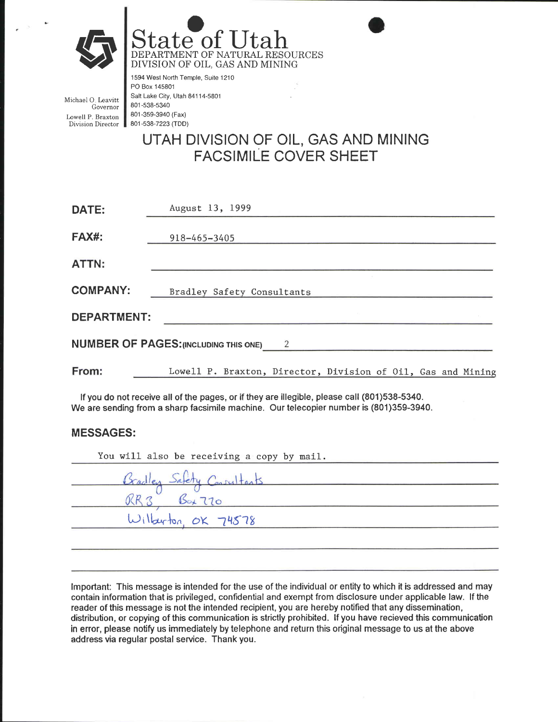

State of Utah DIVISION OF OIL, GAS AND MINING

Michael O. Leavitt Governor Iowell P. Braxton Division Director

1594 West North Temple, Suite 1210 PO Box 145801 Salt Lake City, Utah 84114-5801 801-s38-5340 801 -359-3940 (Fax) 801-538-7223 (TDD)

### UTAH DIVISION OF OIL, GAS AND MINING FACSIMILE COVER SHEET

| DATE:                                          | August 13, 1999                                              |  |  |  |  |  |  |  |  |
|------------------------------------------------|--------------------------------------------------------------|--|--|--|--|--|--|--|--|
| <b>FAX#:</b>                                   | 918-465-3405                                                 |  |  |  |  |  |  |  |  |
| ATTN:                                          |                                                              |  |  |  |  |  |  |  |  |
| <b>COMPANY:</b>                                | Bradley Safety Consultants                                   |  |  |  |  |  |  |  |  |
| <b>DEPARTMENT:</b>                             |                                                              |  |  |  |  |  |  |  |  |
| <b>NUMBER OF PAGES: (INCLUDING THIS ONE)</b> 2 |                                                              |  |  |  |  |  |  |  |  |
| From:                                          | Lowell P. Braxton, Director, Division of Oil, Gas and Mining |  |  |  |  |  |  |  |  |

lf you do not receive all of the pages, or if they are illegible, please call (801)538-5340. We are sending from a sharp facsimile machine. Our telecopier number is (801)359-3940,

#### MESSAGES:

| You will also be receiving a copy by mail. |
|--------------------------------------------|
| Bradley Safety Consultants                 |
| $B_{\alpha+}110$                           |
| Wilberton OK 74578                         |
|                                            |

lmportant: This message is intended for the use of the individual or entity to which it is addressed and may contain information that is privileged, confidential and exempt from disclosure under applicable law. lf the reader of this message is not the intended recipient, you are hereby notified that any dissemination, distribution, or copying of this communication is strictly prohibited. lf you have recieved this communication in error, please notify us immediately by telephone and return this original message to us at the above address via regular postal service. Thank you.